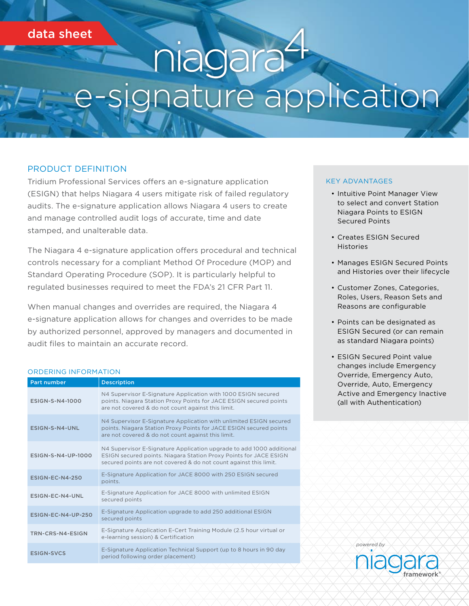# data sheet

# nagara signature application

### PRODUCT DEFINITION

Tridium Professional Services offers an e-signature application (ESIGN) that helps Niagara 4 users mitigate risk of failed regulatory audits. The e-signature application allows Niagara 4 users to create and manage controlled audit logs of accurate, time and date stamped, and unalterable data.

The Niagara 4 e-signature application offers procedural and technical controls necessary for a compliant Method Of Procedure (MOP) and Standard Operating Procedure (SOP). It is particularly helpful to regulated businesses required to meet the FDA's 21 CFR Part 11.

When manual changes and overrides are required, the Niagara 4 e-signature application allows for changes and overrides to be made by authorized personnel, approved by managers and documented in audit files to maintain an accurate record.

#### ORDERING INFORMATION

| <b>Part number</b>     | <b>Description</b>                                                                                                                                                                                             |
|------------------------|----------------------------------------------------------------------------------------------------------------------------------------------------------------------------------------------------------------|
| ESIGN-S-N4-1000        | N4 Supervisor E-Signature Application with 1000 ESIGN secured<br>points. Niagara Station Proxy Points for JACE ESIGN secured points<br>are not covered & do not count against this limit.                      |
| ESIGN-S-N4-UNL         | N4 Supervisor E-Signature Application with unlimited ESIGN secured<br>points. Niagara Station Proxy Points for JACE ESIGN secured points<br>are not covered & do not count against this limit.                 |
| ESIGN-S-N4-UP-1000     | N4 Supervisor E-Signature Application upgrade to add 1000 additional<br>ESIGN secured points. Niagara Station Proxy Points for JACE ESIGN<br>secured points are not covered & do not count against this limit. |
| <b>ESIGN-EC-N4-250</b> | E-Signature Application for JACE 8000 with 250 ESIGN secured<br>points.                                                                                                                                        |
| ESIGN-EC-N4-UNL        | E-Signature Application for JACE 8000 with unlimited ESIGN<br>secured points                                                                                                                                   |
| ESIGN-EC-N4-UP-250     | E-Signature Application upgrade to add 250 additional ESIGN<br>secured points                                                                                                                                  |
| TRN-CRS-N4-ESIGN       | E-Signature Application E-Cert Training Module (2.5 hour virtual or<br>e-learning session) & Certification                                                                                                     |
| <b>ESIGN-SVCS</b>      | E-Signature Application Technical Support (up to 8 hours in 90 day<br>period following order placement)                                                                                                        |

#### KEY ADVANTAGES

- Intuitive Point Manager View to select and convert Station Niagara Points to ESIGN Secured Points
- Creates ESIGN Secured Histories
- Manages ESIGN Secured Points and Histories over their lifecycle
- Customer Zones, Categories, Roles, Users, Reason Sets and Reasons are configurable
- Points can be designated as ESIGN Secured (or can remain as standard Niagara points)
- ESIGN Secured Point value changes include Emergency Override, Emergency Auto, Override, Auto, Emergency Active and Emergency Inactive (all with Authentication)